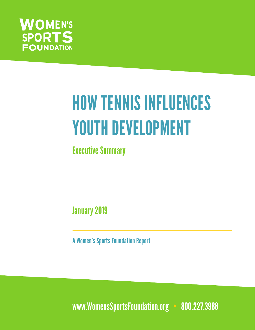

# HOW TENNIS INFLUENCES YOUTH DEVELOPMENT

Executive Summary

January 2019

A Women's Sports Foundation Report

[www.WomensSportsFoundation.org](http://www.womenssportsfoundation.org/) • 800.227.3988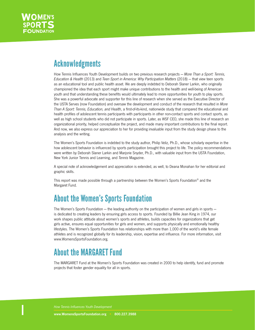

### Acknowledgments

How Tennis Influences Youth Development builds on two previous research projects — More Than a Sport: Tennis, Education & Health (2013) and Teen Sport in America: Why Participation Matters (2018) — that view teen sports as an educational tool and public health asset. We are deeply indebted to Deborah Slaner Larkin, who originally championed the idea that each sport might make unique contributions to the health and well-being of American youth and that understanding these benefits would ultimately lead to more opportunities for youth to play sports. She was a powerful advocate and supporter for this line of research when she served as the Executive Director of the USTA Serves (now Foundation) and oversaw the development and conduct of the research that resulted in More Than A Sport: Tennis, Education, and Health, a first-of-its-kind, nationwide study that compared the educational and health profiles of adolescent tennis participants with participants in other non-contact sports and contact sports, as well as high school students who did not participate in sports. Later, as WSF CEO, she made this line of research an organizational priority, helped conceptualize the project, and made many important contributions to the final report. And now, we also express our appreciation to her for providing invaluable input from the study design phase to the analysis and the writing.

The Women's Sports Foundation is indebted to the study author, Philip Veliz, Ph.D., whose scholarly expertise in the how adolescent behavior is influenced by sports participation brought this project to life. The policy recommendations were written by Deborah Slaner Larkin and Marjorie Snyder, Ph.D., with valuable input from the USTA Foundation, New York Junior Tennis and Learning, and Tennis Magazine.

A special note of acknowledgement and appreciation is extended, as well, to Deana Monahan for her editorial and graphic skills.

This report was made possible through a partnership between the Women's Sports Foundation® and the Margaret Fund.

### About the Women's Sports Foundation

The Women's Sports Foundation — the leading authority on the participation of women and girls in sports is dedicated to creating leaders by ensuring girls access to sports. Founded by Billie Jean King in 1974, our work shapes public attitude about women's sports and athletes, builds capacities for organizations that get girls active, ensures equal opportunities for girls and women, and supports physically and emotionally healthy lifestyles. The Women's Sports Foundation has relationships with more than 1,000 of the world's elite female athletes and is recognized globally for its leadership, vision, expertise and influence. For more information, visit www.WomensSportsFoundation.org.

### About the MARGARET Fund

The MARGARET Fund at the Women's Sports Foundation was created in 2000 to help identify, fund and promote projects that foster gender equality for all in sports.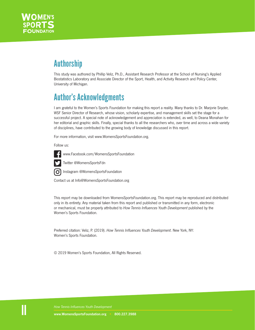

### Authorship

This study was authored by Phillip Veliz, Ph.D., Assistant Research Professor at the School of Nursing's Applied Biostatistics Laboratory and Associate Director of the Sport, Health, and Activity Research and Policy Center, University of Michigan.

### Author's Acknowledgments

I am grateful to the Women's Sports Foundation for making this report a reality. Many thanks to Dr. Marjorie Snyder, WSF Senior Director of Research, whose vision, scholarly expertise, and management skills set the stage for a successful project. A special note of acknowledgement and appreciation is extended, as well, to Deana Monahan for her editorial and graphic skills. Finally, special thanks to all the researchers who, over time and across a wide variety of disciplines, have contributed to the growing body of knowledge discussed in this report.

For more information, visit www.WomensSportsFoundation.org.

Follow us:



Ö

www.Facebook.com/WomensSportsFoundation

Twitter @WomensSportsFdn

Instagram @WomensSportsFoundation

Contact us at Info@WomensSportsFoundation.org

This report may be downloaded from WomensSportsFoundation.org. This report may be reproduced and distributed only in its entirety. Any material taken from this report and published or transmitted in any form, electronic or mechanical, must be properly attributed to How Tennis Influences Youth Development published by the Women's Sports Foundation.

Preferred citation: Veliz, P. (2019). How Tennis Influences Youth Development. New York, NY: Women's Sports Foundation.

© 2019 Women's Sports Foundation, All Rights Reserved.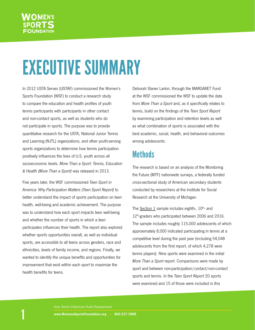# EXECUTIVE SUMMARY

In 2012 USTA Serves (USTAF) commissioned the Women's Sports Foundation (WSF) to conduct a research study to compare the education and health profiles of youth tennis participants with participants in other contact and non‑contact sports, as well as students who do not participate in sports. The purpose was to provide quantitative research for the USTA, National Junior Tennis and Learning (NJTL) organizations, and other youth-serving sports organizations to determine how tennis participation positively influences the lives of U.S. youth across all socioeconomic levels. More Than a Sport: Tennis, Education & Health (More Than a Sport) was released in 2013.

Five years later, the WSF commissioned Teen Sport in America: Why Participation Matters (Teen Sport Report) to better understand the impact of sports participation on teen health, well-being and academic achievement. The purpose was to understand how each sport impacts teen well-being and whether the number of sports in which a teen participates influences their health. The report also explored whether sports opportunities overall, as well as individual sports, are accessible to all teens across genders, race and ethnicities, levels of family income, and regions. Finally, we wanted to identify the unique benefits and opportunities for improvement that exist within each sport to maximize the health benefits for teens.

Deborah Slaner Larkin, through the MARGARET Fund at the WSF commissioned the WSF to update the data from More Than a Sport and, as it specifically relates to tennis, build on the findings of the Teen Sport Report by examining participation and retention levels as well as what combination of sports is associated with the best academic, social, health, and behavioral outcomes among adolescents.

### **Methods**

The research is based on an analysis of the Monitoring the Future (MTF) nationwide surveys, a federally funded cross‑sectional study of American secondary students conducted by researchers at the Institute for Social Research at the University of Michigan.

The Section 1 sample includes eighth-,  $10<sup>th</sup>$ - and 12<sup>th</sup>-graders who participated between 2006 and 2016. The sample includes roughly 115,000 adolescents of which approximately 8,000 indicated participating in tennis at a competitive level during the past year (including 54,048 adolescents from the first report, of which 4,278 were tennis players). Nine sports were examined in the initial More Than a Sport report. Comparisons were made by sport and between non-participation/contact/non-contact sports and tennis. In the Teen Sport Report 20 sports were examined and 15 of those were included in this

How Tennis Influences Youth Development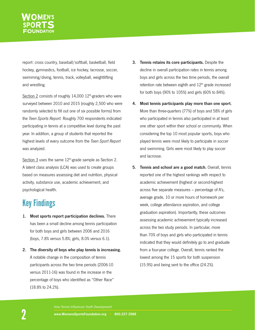# **'OMEN'S**

report: cross country, baseball/softball, basketball, field hockey, gymnastics, football, ice hockey, lacrosse, soccer, swimming/diving, tennis, track, volleyball, weightlifting and wrestling.

Section  $2$  consists of roughly 14,000  $12<sup>th</sup>$ -graders who were surveyed between 2010 and 2015 (roughly 2,500 who were randomly selected to fill out one of six possible forms) from the Teen Sports Report. Roughly 700 respondents indicated participating in tennis at a competitive level during the past year. In addition, a group of students that reported the highest levels of every outcome from the Teen Sport Report was analyzed.

Section 3 uses the same  $12<sup>th</sup>$ -grade sample as Section 2. A latent class analysis (LCA) was used to create groups based on measures assessing diet and nutrition, physical activity, substance use, academic achievement, and psychological health.

## Key Findings

- 1. Most sports report participation declines. There has been a small decline among tennis participation for both boys and girls between 2006 and 2016 (boys, 7.8% versus 5.8%; girls, 8.0% versus 6.1).
- 2. The diversity of boys who play tennis is increasing. A notable change in the composition of tennis participants across the two time periods (2006‑10 versus 2011-16) was found in the increase in the percentage of boys who identified as "Other Race" (18.8% to 24.2%).
- 3. Tennis retains its core participants. Despite the decline in overall participation rates in tennis among boys and girls across the two time periods, the overall retention rate between eighth and  $12<sup>th</sup>$  grade increased for both boys (90% to 105%) and girls (60% to 84%).
- 4. Most tennis participants play more than one sport. More than three-quarters (77%) of boys and 58% of girls who participated in tennis also participated in at least one other sport within their school or community. When considering the top 10 most popular sports, boys who played tennis were most likely to participate in soccer and swimming. Girls were most likely to play soccer and lacrosse.
- 5. Tennis and school are a good match. Overall, tennis reported one of the highest rankings with respect to academic achievement (highest or second-highest across five separate measures – percentage of A's, average grade, 10 or more hours of homework per week, college attendance aspiration, and college graduation aspiration). Importantly, these outcomes assessing academic achievement typically increased across the two study periods. In particular, more than 70% of boys and girls who participated in tennis indicated that they would definitely go to and graduate from a four-year college. Overall, tennis ranked the lowest among the 15 sports for both suspension (15.9%) and being sent to the office (24.2%).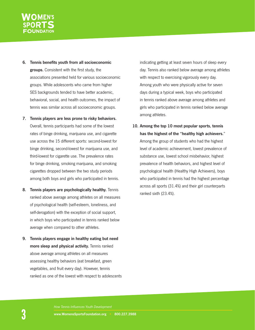## **OMEN'S JNDATION**

- 6. Tennis benefits youth from all socioeconomic groups. Consistent with the first study, the associations presented held for various socioeconomic groups. While adolescents who came from higher SES backgrounds tended to have better academic, behavioral, social, and health outcomes, the impact of tennis was similar across all socioeconomic groups.
- 7. Tennis players are less prone to risky behaviors. Overall, tennis participants had some of the lowest rates of binge drinking, marijuana use, and cigarette use across the 15 different sports: second-lowest for binge drinking, second-lowest for marijuana use, and third-lowest for cigarette use. The prevalence rates for binge drinking, smoking marijuana, and smoking cigarettes dropped between the two study periods among both boys and girls who participated in tennis.
- 8. Tennis players are psychologically healthy. Tennis ranked above average among athletes on all measures of psychological health (self-esteem, loneliness, and self-derogation) with the exception of social support, in which boys who participated in tennis ranked below average when compared to other athletes.
- 9. Tennis players engage in healthy eating but need more sleep and physical activity. Tennis ranked above average among athletes on all measures assessing healthy behaviors (eat breakfast, green vegetables, and fruit every day). However, tennis ranked as one of the lowest with respect to adolescents

indicating getting at least seven hours of sleep every day. Tennis also ranked below average among athletes with respect to exercising vigorously every day. Among youth who were physically active for seven days during a typical week, boys who participated in tennis ranked above average among athletes and girls who participated in tennis ranked below average among athletes.

10. Among the top 10 most popular sports, tennis has the highest of the "healthy high achievers." Among the group of students who had the highest level of academic achievement, lowest prevalence of substance use, lowest school misbehavior, highest prevalence of health behaviors, and highest level of psychological health (Healthy High Achievers), boys who participated in tennis had the highest percentage across all sports (31.4%) and their girl counterparts ranked sixth (23.4%).

How Tennis Influences Youth Development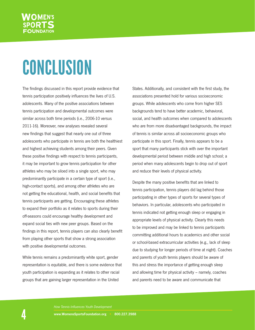# **OMEN'S**

## CONCLUSION

The findings discussed in this report provide evidence that tennis participation positively influences the lives of U.S. adolescents. Many of the positive associations between tennis participation and developmental outcomes were similar across both time periods (i.e., 2006-10 versus 2011-16). Moreover, new analyses revealed several new findings that suggest that nearly one out of three adolescents who participate in tennis are both the healthiest and highest achieving students among their peers. Given these positive findings with respect to tennis participants, it may be important to grow tennis participation for other athletes who may be siloed into a single sport, who may predominantly participate in a certain type of sport (i.e., high-contact sports), and among other athletes who are not getting the educational, health, and social benefits that tennis participants are getting. Encouraging these athletes to expand their portfolio as it relates to sports during their off-seasons could encourage healthy development and expand social ties with new peer groups. Based on the findings in this report, tennis players can also clearly benefit from playing other sports that show a strong association with positive developmental outcomes.

While tennis remains a predominantly white sport, gender representation is equitable, and there is some evidence that youth participation is expanding as it relates to other racial groups that are gaining larger representation in the United

States. Additionally, and consistent with the first study, the associations presented hold for various socioeconomic groups. While adolescents who come from higher SES backgrounds tend to have better academic, behavioral, social, and health outcomes when compared to adolescents who are from more disadvantaged backgrounds, the impact of tennis is similar across all socioeconomic groups who participate in this sport. Finally, tennis appears to be a sport that many participants stick with over the important developmental period between middle and high school; a period when many adolescents begin to drop out of sport and reduce their levels of physical activity.

Despite the many positive benefits that are linked to tennis participation, tennis players did lag behind those participating in other types of sports for several types of behaviors. In particular, adolescents who participated in tennis indicated not getting enough sleep or engaging in appropriate levels of physical activity. Clearly this needs to be improved and may be linked to tennis participants committing additional hours to academics and other social or school-based extracurricular activities (e.g., lack of sleep due to studying for longer periods of time at night). Coaches and parents of youth tennis players should be aware of this and stress the importance of getting enough sleep and allowing time for physical activity – namely, coaches and parents need to be aware and communicate that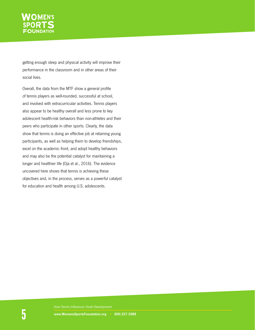#### **WOMEN'S SPORT FOUNDATION**

getting enough sleep and physical activity will improve their performance in the classroom and in other areas of their social lives.

Overall, the data from the MTF show a general profile of tennis players as well-rounded, successful at school, and involved with extracurricular activities. Tennis players also appear to be healthy overall and less prone to key adolescent health-risk behaviors than non-athletes and their peers who participate in other sports. Clearly, the data show that tennis is doing an effective job at retaining young participants, as well as helping them to develop friendships, excel on the academic front, and adopt healthy behaviors and may also be the potential catalyst for maintaining a longer and healthier life (Oja et al., 2016). The evidence uncovered here shows that tennis is achieving these objectives and, in the process, serves as a powerful catalyst for education and health among U.S. adolescents.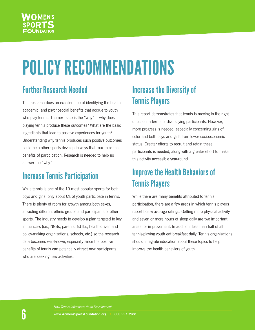# **JOMEN'S**

# POLICY RECOMMENDATIONS

## Further Research Needed

This research does an excellent job of identifying the health, academic, and psychosocial benefits that accrue to youth who play tennis. The next step is the "why" — why does playing tennis produce these outcomes? What are the basic ingredients that lead to positive experiences for youth? Understanding why tennis produces such positive outcomes could help other sports develop in ways that maximize the benefits of participation. Research is needed to help us answer the "why."

## Increase Tennis Participation

While tennis is one of the 10 most popular sports for both boys and girls, only about 6% of youth participate in tennis. There is plenty of room for growth among both sexes, attracting different ethnic groups and participants of other sports. The industry needs to develop a plan targeted to key influencers (i.e., NGBs, parents, NJTLs, health-driven and policy-making organizations, schools, etc.) so the research data becomes well-known, especially since the positive benefits of tennis can potentially attract new participants who are seeking new activities.

## Increase the Diversity of **Tennis Players**

This report demonstrates that tennis is moving in the right direction in terms of diversifying participants. However, more progress is needed, especially concerning girls of color and both boys and girls from lower socioeconomic status. Greater efforts to recruit and retain these participants is needed, along with a greater effort to make this activity accessible year-round.

## Improve the Health Behaviors of Tennis Players

While there are many benefits attributed to tennis participation, there are a few areas in which tennis players report below-average ratings. Getting more physical activity and seven or more hours of sleep daily are two important areas for improvement. In addition, less than half of all tennis-playing youth eat breakfast daily. Tennis organizations should integrate education about these topics to help improve the health behaviors of youth.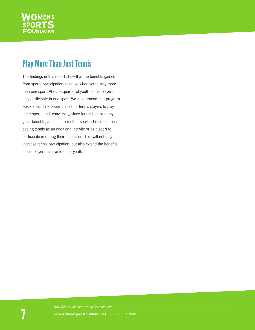

### Play More Than Just Tennis

The findings in this report show that the benefits gained from sports participation increase when youth play more than one sport. About a quarter of youth tennis players only participate in one sport. We recommend that program leaders facilitate opportunities for tennis players to play other sports and, conversely, since tennis has so many great benefits, athletes from other sports should consider adding tennis as an additional activity or as a sport to participate in during their off-season. This will not only increase tennis participation, but also extend the benefits tennis players receive to other youth.

How Tennis Influences Youth Development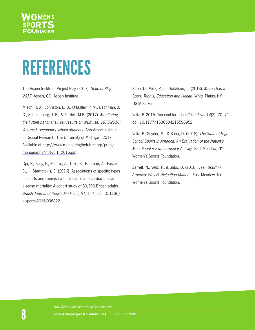## **JOMEN'S**

## REFERENCES

The Aspen Institute: Project Play (2017). State of Play 2017. Aspen, CO: Aspen Institute

Miech, R. A., Johnston, L. D., O'Malley, P. M., Bachman, J. G., Schulenberg, J. E., & Patrick, M.E. (2017). Monitoring the Future national survey results on drug use, 1975-2016: Volume I, secondary school students. Ann Arbor: Institute for Social Research, The University of Michigan, 2017. Available at [http://www.monitoringthefuture.org/pubs/](http://www.monitoringthefuture.org/pubs/monographs/mtf-vol1_2016.pdf) [monographs/mtf-vol1\\_2016.pdf](http://www.monitoringthefuture.org/pubs/monographs/mtf-vol1_2016.pdf).

Oja, P., Kelly, P., Pedisic, Z., Titze, S., Bauman, A., Foster, C., … Stamatakis, E. (2016). Associations of specific types of sports and exercise with all-cause and cardiovasculardisease mortality: A cohort study of 80,306 British adults. British Journal of Sports Medicine, 51, 1–7. doi: 10.1136/ bjsports-2016-096822.

Sabo, D., Veliz, P. and Rafalson, L. (2013). More Than a Sport: Tennis, Education and Health. White Plains, NY: USTA Serves.

Veliz, P. 2015. Too cool for school? Contexts 14(3), 70–71. doi: 10.1177/1536504215596952.

Veliz, P., Snyder, M., & Sabo, D. (2018). The State of High School Sports in America: An Evaluation of the Nation's Most Popular Extracurricular Activity. East Meadow, NY: Women's Sports Foundation.

Zarrett, N., Veliz, P., & Sabo, D. (2018). Teen Sport in America: Why Participation Matters. East Meadow, NY: Women's Sports Foundation.